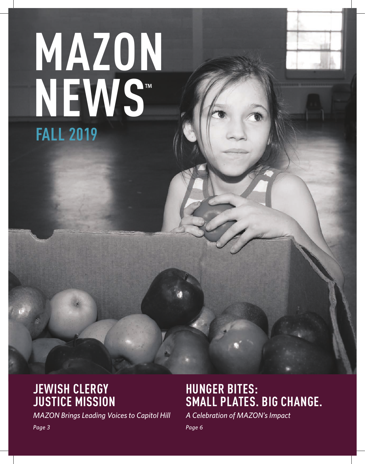# **FALL 2019 MAZON NEWS**

### **JEWISH CLERGY JUSTICE MISSION**

*MAZON Brings Leading Voices to Capitol Hill* 

### **HUNGER BITES: SMALL PLATES. BIG CHANGE.**

*A Celebration of MAZON's Impact* 

*Page 6*

*Page 3*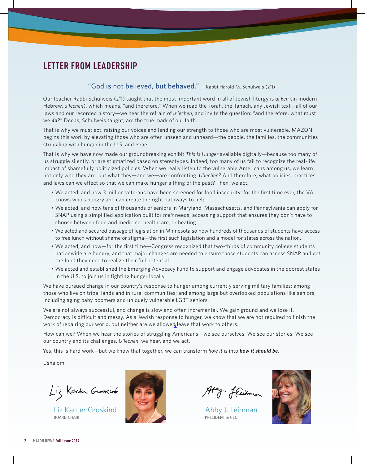#### **LETTER FROM LEADERSHIP**

#### "God is not believed, but behaved." – Rabbi Harold M. Schulweis (z"l)

Our teacher Rabbi Schulweis (z"l) taught that the most important word in all of Jewish liturgy is *al ken* (in modern Hebrew, *u'lechen*), which means, "and therefore." When we read the Torah, the Tanach, any Jewish text—all of our laws and our recorded history—we hear the refrain of *u'lechen*, and invite the question: "and therefore, what must we *do*?" Deeds, Schulweis taught, are the true mark of our faith.

That is why we must act, raising our voices and lending our strength to those who are most vulnerable. MAZON begins this work by elevating those who are often unseen and unheard—the people, the families, the communities struggling with hunger in the U.S. and Israel.

That is why we have now made our groundbreaking exhibit *This Is Hunger* available digitally—because too many of us struggle silently, or are stigmatized based on stereotypes. Indeed, too many of us fail to recognize the real-life impact of shamefully politicized policies. When we really listen to the vulnerable Americans among us, we learn not only who they are, but what they—and we—are confronting. *U'lechen?* And therefore, what policies, practices and laws can we effect so that we can make hunger a thing of the past? Then, we act.

- We acted, and now 3 million veterans have been screened for food insecurity; for the first time ever, the VA knows who's hungry and can create the right pathways to help.
- We acted, and now tens of thousands of seniors in Maryland, Massachusetts, and Pennsylvania can apply for SNAP using a simplified application built for *their* needs, accessing support that ensures they don't have to choose between food and medicine, healthcare, or heating.
- We acted and secured passage of legislation in Minnesota so now hundreds of thousands of students have access to free lunch without shame or stigma—the first such legislation and a model for states across the nation.
- We acted, and now—for the first time—Congress recognized that two-thirds of community college students nationwide are hungry, and that major changes are needed to ensure those students can access SNAP and get the food they need to realize their full potential.
- We acted and established the Emerging Advocacy Fund to support and engage advocates in the poorest states in the U.S. to join us in fighting hunger locally.

We have pursued change in our country's response to hunger among currently serving military families; among those who live on tribal lands and in rural communities; and among large but overlooked populations like seniors, including aging baby boomers and uniquely vulnerable LGBT seniors.

We are not always successful, and change is slow and often incremental. We gain ground and we lose it. Democracy is difficult and messy. As a Jewish response to hunger, we know that we are not required to finish the work of repairing our world, but neither are we allowed leave that work to others.

How can we? When we hear the stories of struggling Americans—we see ourselves. We see our stories. We see our country and its challenges. *U'lechen*, we hear, and we act.

Yes, this is hard work—but we know that together, we can transform *how it is* into *how it should be*.

L'shalom,

Liz Kanter Groskind

Liz Kanter Groskind BOARD CHAIR



Aty fleitman

Abby J. Leibman PRESIDENT & CEO

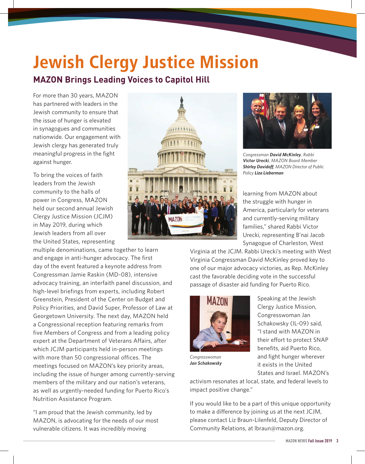### Jewish Clergy Justice Mission **MAZON Brings Leading Voices to Capitol Hill**

For more than 30 years, MAZON has partnered with leaders in the Jewish community to ensure that the issue of hunger is elevated in synagogues and communities nationwide. Our engagement with Jewish clergy has generated truly meaningful progress in the fight against hunger.

To bring the voices of faith leaders from the Jewish community to the halls of power in Congress, MAZON held our second annual Jewish Clergy Justice Mission (JCJM) in May 2019, during which Jewish leaders from all over the United States, representing

multiple denominations, came together to learn and engage in anti-hunger advocacy. The first day of the event featured a keynote address from Congressman Jamie Raskin (MD-08), intensive advocacy training, an interfaith panel discussion, and high-level briefings from experts, including Robert Greenstein, President of the Center on Budget and Policy Priorities, and David Super, Professor of Law at Georgetown University. The next day, MAZON held a Congressional reception featuring remarks from five Members of Congress and from a leading policy expert at the Department of Veterans Affairs, after which JCJM participants held in-person meetings with more than 50 congressional offices. The meetings focused on MAZON's key priority areas, including the issue of hunger among currently-serving members of the military and our nation's veterans, as well as urgently-needed funding for Puerto Rico's Nutrition Assistance Program.

"I am proud that the Jewish community, led by MAZON, is advocating for the needs of our most vulnerable citizens. It was incredibly moving





*Congressman David McKinley, Rabbi Victor Urecki, MAZON Board Member Shirley Davidoff, MAZON Director of Public Policy Liza Lieberman*

learning from MAZON about the struggle with hunger in America, particularly for veterans and currently-serving military families," shared Rabbi Victor Urecki, representing B'nai Jacob Synagogue of Charleston, West

Virginia at the JCJM. Rabbi Urecki's meeting with West Virginia Congressman David McKinley proved key to one of our major advocacy victories, as Rep. McKinley cast the favorable deciding vote in the successful passage of disaster aid funding for Puerto Rico.



Speaking at the Jewish Clergy Justice Mission, Congresswoman Jan Schakowsky (IL-09) said, "I stand with MAZON in their effort to protect SNAP benefits, aid Puerto Rico, and fight hunger wherever it exists in the United States and Israel. MAZON's

*Congresswoman Jan Schakowsky*

activism resonates at local, state, and federal levels to impact positive change."

If you would like to be a part of this unique opportunity to make a difference by joining us at the next JCJM, please contact Liz Braun-Lilenfeld, Deputy Director of Community Relations, at lbraun@mazon.org.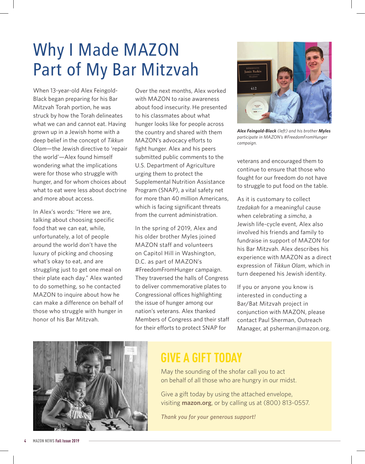# Why I Made MAZON Part of My Bar Mitzvah

When 13-year-old Alex Feingold-Black began preparing for his Bar Mitzvah Torah portion, he was struck by how the Torah delineates what we can and cannot eat. Having grown up in a Jewish home with a deep belief in the concept of *Tikkun Olam*—the Jewish directive to 'repair the world'—Alex found himself wondering what the implications were for those who struggle with hunger, and for whom choices about what to eat were less about doctrine and more about access.

In Alex's words: "Here we are, talking about choosing specific food that we can eat, while, unfortunately, a lot of people around the world don't have the luxury of picking and choosing what's okay to eat, and are struggling just to get one meal on their plate each day." Alex wanted to do something, so he contacted MAZON to inquire about how he can make a difference on behalf of those who struggle with hunger in honor of his Bar Mitzvah.

Over the next months, Alex worked with MAZON to raise awareness about food insecurity. He presented to his classmates about what hunger looks like for people across the country and shared with them MAZON's advocacy efforts to fight hunger. Alex and his peers submitted public comments to the U.S. Department of Agriculture urging them to protect the Supplemental Nutrition Assistance Program (SNAP), a vital safety net for more than 40 million Americans, which is facing significant threats from the current administration.

In the spring of 2019, Alex and his older brother Myles joined MAZON staff and volunteers on Capitol Hill in Washington, D.C. as part of MAZON's #FreedomFromHunger campaign. They traversed the halls of Congress to deliver commemorative plates to Congressional offices highlighting the issue of hunger among our nation's veterans. Alex thanked Members of Congress and their staff for their efforts to protect SNAP for



*Alex Feingold-Black (left) and his brother Myles participate in MAZON's #FreedomFromHunger campaign.*

veterans and encouraged them to continue to ensure that those who fought for our freedom do not have to struggle to put food on the table.

As it is customary to collect *tzedakah* for a meaningful cause when celebrating a *simcha*, a Jewish life-cycle event, Alex also involved his friends and family to fundraise in support of MAZON for his Bar Mitzvah. Alex describes his experience with MAZON as a direct expression of *Tikkun Olam*, which in turn deepened his Jewish identity.

If you or anyone you know is interested in conducting a Bar/Bat Mitzvah project in conjunction with MAZON, please contact Paul Sherman, Outreach Manager, at psherman@mazon.org.



### **GIVE A GIFT TODAY**

May the sounding of the shofar call you to act on behalf of all those who are hungry in our midst.

Give a gift today by using the attached envelope, visiting **mazon.org**, or by calling us at (800) 813-0557.

*Thank you for your generous support!*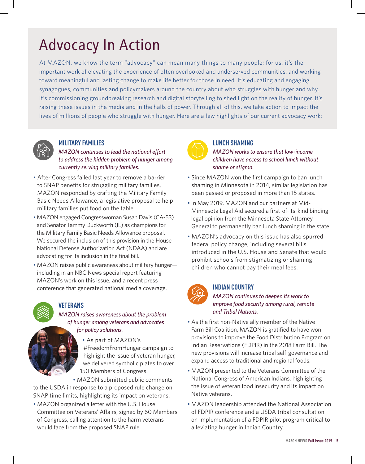## Advocacy In Action

At MAZON, we know the term "advocacy" can mean many things to many people; for us, it's the important work of elevating the experience of often overlooked and underserved communities, and working toward meaningful and lasting change to make life better for those in need. It's educating and engaging synagogues, communities and policymakers around the country about who struggles with hunger and why. It's commissioning groundbreaking research and digital storytelling to shed light on the reality of hunger. It's raising these issues in the media and in the halls of power. Through all of this, we take action to impact the lives of millions of people who struggle with hunger. Here are a few highlights of our current advocacy work:



#### **MILITARY FAMILIES**

*MAZON continues to lead the national effort to address the hidden problem of hunger among currently serving military families.* 

- After Congress failed last year to remove a barrier to SNAP benefits for struggling military families, MAZON responded by crafting the Military Family Basic Needs Allowance, a legislative proposal to help military families put food on the table.
- MAZON engaged Congresswoman Susan Davis (CA-53) and Senator Tammy Duckworth (IL) as champions for the Military Family Basic Needs Allowance proposal. We secured the inclusion of this provision in the House National Defense Authorization Act (NDAA) and are advocating for its inclusion in the final bill.
- MAZON raises public awareness about military hungerincluding in an NBC News special report featuring MAZON's work on this issue, and a recent press conference that generated national media coverage.



#### **VETERANS**

*MAZON raises awareness about the problem of hunger among veterans and advocates for policy solutions.* 

> • As part of MAZON's #FreedomFromHunger campaign to highlight the issue of veteran hunger, we delivered symbolic plates to over 150 Members of Congress.

• MAZON submitted public comments to the USDA in response to a proposed rule change on SNAP time limits, highlighting its impact on veterans.

• MAZON organized a letter with the U.S. House Committee on Veterans' Affairs, signed by 60 Members of Congress, calling attention to the harm veterans would face from the proposed SNAP rule.



#### **LUNCH SHAMING**

*MAZON works to ensure that low-income children have access to school lunch without shame or stigma.*

- Since MAZON won the first campaign to ban lunch shaming in Minnesota in 2014, similar legislation has been passed or proposed in more than 15 states.
- In May 2019, MAZON and our partners at Mid-Minnesota Legal Aid secured a first-of-its-kind binding legal opinion from the Minnesota State Attorney General to permanently ban lunch shaming in the state.
- MAZON's advocacy on this issue has also spurred federal policy change, including several bills introduced in the U.S. House and Senate that would prohibit schools from stigmatizing or shaming children who cannot pay their meal fees.



#### **INDIAN COUNTRY**

*MAZON continues to deepen its work to improve food security among rural, remote and Tribal Nations.*

- As the first non-Native ally member of the Native Farm Bill Coalition, MAZON is gratified to have won provisions to improve the Food Distribution Program on Indian Reservations (FDPIR) in the 2018 Farm Bill. The new provisions will increase tribal self-governance and expand access to traditional and regional foods.
- MAZON presented to the Veterans Committee of the National Congress of American Indians, highlighting the issue of veteran food insecurity and its impact on Native veterans.
- MAZON leadership attended the National Association of FDPIR conference and a USDA tribal consultation on implementation of a FDPIR pilot program critical to alleviating hunger in Indian Country.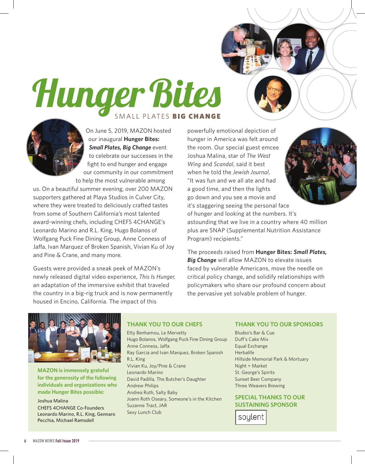# Hunger Bites SMALL PLATES BIG CHANGE

On June 5, 2019, MAZON hosted our inaugural **Hunger Bites:**  *Small Plates, Big Change event* to celebrate our successes in the fight to end hunger and engage our community in our commitment to help the most vulnerable among

us. On a beautiful summer evening, over 200 MAZON supporters gathered at Playa Studios in Culver City, where they were treated to deliciously crafted tastes from some of Southern California's most talented award-winning chefs, including CHEFS 4CHANGE's Leonardo Marino and R.L. King, Hugo Bolanos of Wolfgang Puck Fine Dining Group, Anne Conness of Jaffa, Ivan Marquez of Broken Spanish, Vivian Ku of Joy and Pine & Crane, and many more.

Guests were provided a sneak peek of MAZON's newly released digital video experience, *This Is Hunger,* an adaptation of the immersive exhibit that traveled the country in a big-rig truck and is now permanently housed in Encino, California. The impact of this

powerfully emotional depiction of hunger in America was felt around the room. Our special guest emcee Joshua Malina, star of *The West Wing* and *Scandal*, said it best when he told the *Jewish Journal*, "It was fun and we all ate and had a good time, and then the lights go down and you see a movie and it's staggering seeing the personal face

of hunger and looking at the numbers. It's astounding that we live in a country where 40 million plus are SNAP (Supplemental Nutrition Assistance Program) recipients."

The proceeds raised from **Hunger Bites:** *Small Plates, Big Change* will allow MAZON to elevate issues faced by vulnerable Americans, move the needle on critical policy change, and solidify relationships with policymakers who share our profound concern about the pervasive yet solvable problem of hunger.



**MAZON is immensely grateful for the generosity of the following individuals and organizations who made Hunger Bites possible:**

Joshua Malina CHEFS 4CHANGE Co-Founders Leonardo Marino, R.L. King, Gennaro Pecchia, Michael Ramsdell

#### **THANK YOU TO OUR CHEFS**

Etty Benhamou, Le Mervetty Hugo Bolanos, Wolfgang Puck Fine Dining Group Anne Conness, Jaffa Ray Garcia and Ivan Marquez, Broken Spanish R.L. King Vivian Ku, Joy/Pine & Crane Leonardo Marino David Padilla, The Butcher's Daughter Andrew Philips Andrea Ruth, Salty Baby Joann Roth Oseary, Someone's in the Kitchen Suzanne Tract, JAR Sexy Lunch Club

#### **THANK YOU TO OUR SPONSORS**

Bludso's Bar & Cue Duff's Cake Mix Equal Exchange Herbalife Hillside Memorial Park & Mortuary Night + Market St. George's Spirits Sunset Beer Company Three Weavers Brewing

**SPECIAL THANKS TO OUR SUSTAINING SPONSOR**

soylent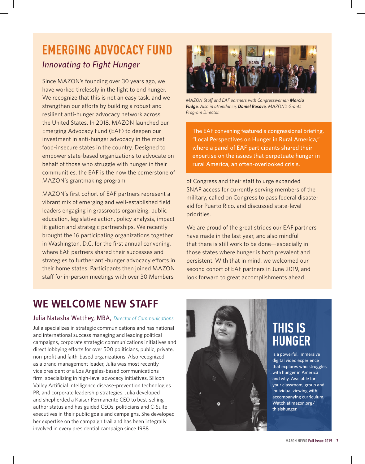### **EMERGING ADVOCACY FUND** *Innovating to Fight Hunger*

Since MAZON's founding over 30 years ago, we have worked tirelessly in the fight to end hunger. We recognize that this is not an easy task, and we strengthen our efforts by building a robust and resilient anti-hunger advocacy network across the United States. In 2018, MAZON launched our Emerging Advocacy Fund (EAF) to deepen our investment in anti-hunger advocacy in the most food-insecure states in the country. Designed to empower state-based organizations to advocate on behalf of those who struggle with hunger in their communities, the EAF is the now the cornerstone of MAZON's grantmaking program.

MAZON's first cohort of EAF partners represent a vibrant mix of emerging and well-established field leaders engaging in grassroots organizing, public education, legislative action, policy analysis, impact litigation and strategic partnerships. We recently brought the 16 participating organizations together in Washington, D.C. for the first annual convening, where EAF partners shared their successes and strategies to further anti-hunger advocacy efforts in their home states. Participants then joined MAZON staff for in-person meetings with over 30 Members



*MAZON Staff and EAF partners with Congresswoman Marcia Fudge. Also in attendance, Daniel Rosove, MAZON's Grants Program Director.*

The EAF convening featured a congressional briefing, "Local Perspectives on Hunger in Rural America," where a panel of EAF participants shared their expertise on the issues that perpetuate hunger in rural America, an often-overlooked crisis.

of Congress and their staff to urge expanded SNAP access for currently serving members of the military, called on Congress to pass federal disaster aid for Puerto Rico, and discussed state-level priorities.

We are proud of the great strides our EAF partners have made in the last year, and also mindful that there is still work to be done—especially in those states where hunger is both prevalent and persistent. With that in mind, we welcomed our second cohort of EAF partners in June 2019, and look forward to great accomplishments ahead.

### WE WELCOME NEW STAFF

#### Julia Natasha Watthey, MBA, *Director of Communications*

Julia specializes in strategic communications and has national and international success managing and leading political campaigns, corporate strategic communications initiatives and direct lobbying efforts for over 500 politicians, public, private, non-profit and faith-based organizations. Also recognized as a brand management leader, Julia was most recently vice president of a Los Angeles-based communications firm, specializing in high-level advocacy initiatives, Silicon Valley Artificial Intelligence disease-prevention technologies PR, and corporate leadership strategies. Julia developed and shepherded a Kaiser Permanente CEO to best-selling author status and has guided CEOs, politicians and C-Suite executives in their public goals and campaigns. She developed her expertise on the campaign trail and has been integrally involved in every presidential campaign since 1988.



### **THIS IS HUNGER**

is a powerful, immersive digital video experience that explores who struggles with hunger in America and why. Available for your classroom, group and individual viewing with accompanying curriculum. Watch at mazon.org/ thisishunger.